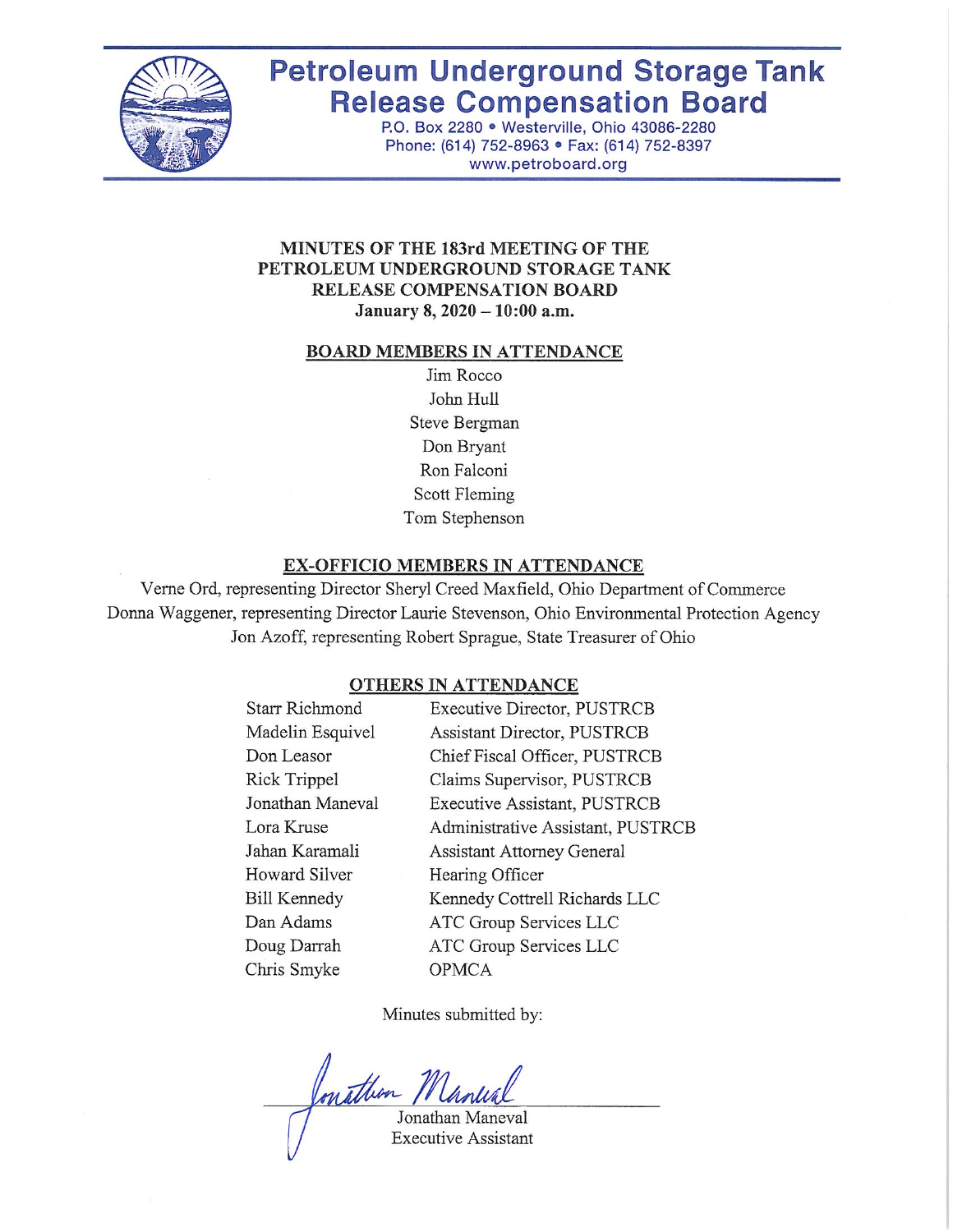

# **Petroleum Underground Storage Tank Release Compensation Board**

P.O. Box 2280 · Westerville, Ohio 43086-2280 Phone: (614) 752-8963 · Fax: (614) 752-8397 www.petroboard.org

### MINUTES OF THE 183rd MEETING OF THE PETROLEUM UNDERGROUND STORAGE TANK RELEASE COMPENSATION BOARD January 8, 2020 - 10:00 a.m.

#### **BOARD MEMBERS IN ATTENDANCE**

Jim Rocco John Hull Steve Bergman Don Bryant Ron Falconi Scott Fleming Tom Stephenson

#### **EX-OFFICIO MEMBERS IN ATTENDANCE**

Verne Ord, representing Director Sheryl Creed Maxfield, Ohio Department of Commerce Donna Waggener, representing Director Laurie Stevenson, Ohio Environmental Protection Agency Jon Azoff, representing Robert Sprague, State Treasurer of Ohio

#### **OTHERS IN ATTENDANCE**

| <b>Starr Richmond</b> | <b>Executive Director, PUSTRCB</b> |
|-----------------------|------------------------------------|
| Madelin Esquivel      | <b>Assistant Director, PUSTRCB</b> |
| Don Leasor            | Chief Fiscal Officer, PUSTRCB      |
| Rick Trippel          | Claims Supervisor, PUSTRCB         |
| Jonathan Maneval      | Executive Assistant, PUSTRCB       |
| Lora Kruse            | Administrative Assistant, PUSTRCB  |
| Jahan Karamali        | <b>Assistant Attorney General</b>  |
| <b>Howard Silver</b>  | Hearing Officer                    |
| <b>Bill Kennedy</b>   | Kennedy Cottrell Richards LLC      |
| Dan Adams             | ATC Group Services LLC             |
| Doug Darrah           | ATC Group Services LLC             |
| Chris Smyke           | <b>OPMCA</b>                       |
|                       |                                    |

Minutes submitted by:

Conathon 7

Jonathan Maneval **Executive Assistant**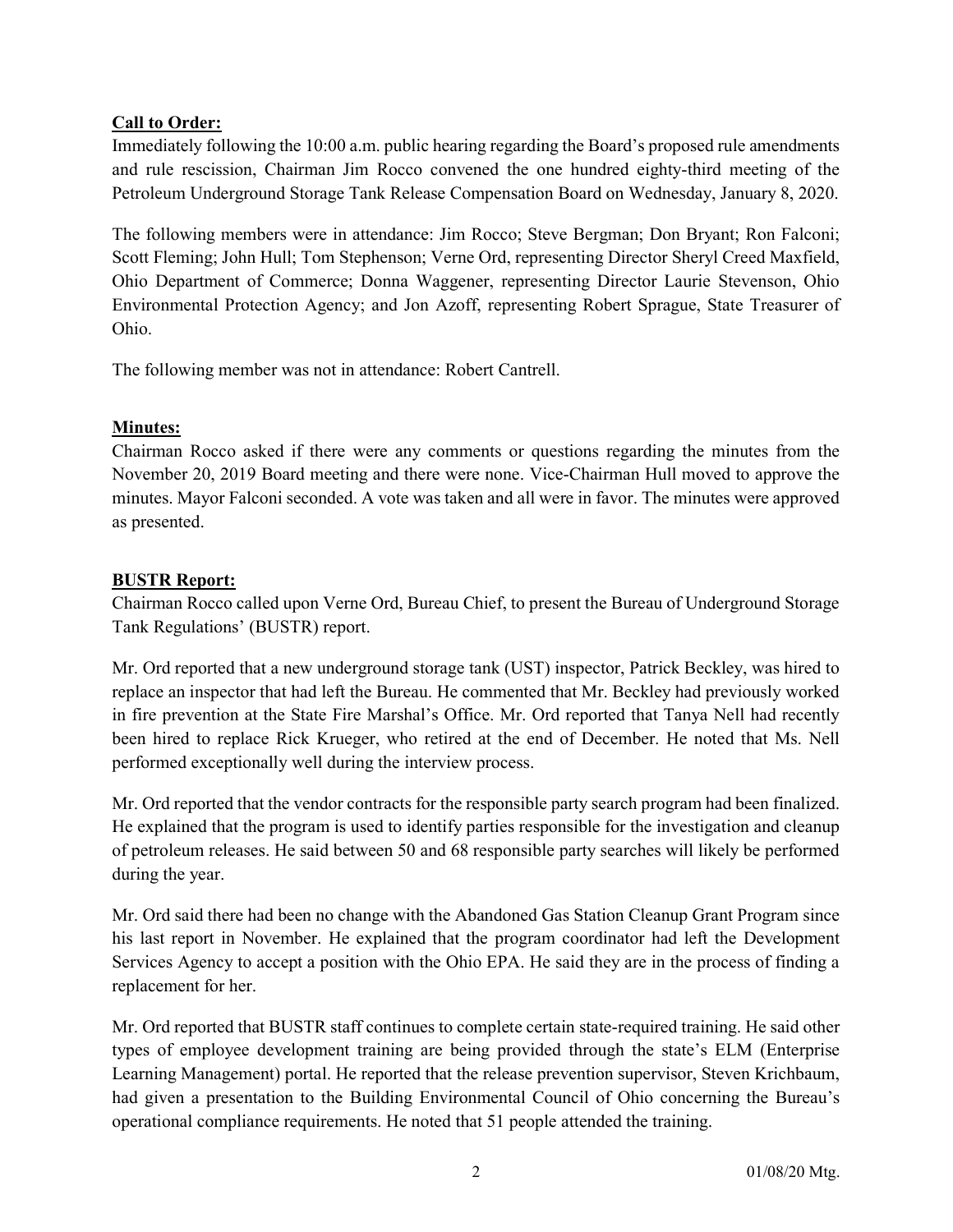# Call to Order:

Immediately following the 10:00 a.m. public hearing regarding the Board's proposed rule amendments and rule rescission, Chairman Jim Rocco convened the one hundred eighty-third meeting of the Petroleum Underground Storage Tank Release Compensation Board on Wednesday, January 8, 2020.

The following members were in attendance: Jim Rocco; Steve Bergman; Don Bryant; Ron Falconi; Scott Fleming; John Hull; Tom Stephenson; Verne Ord, representing Director Sheryl Creed Maxfield, Ohio Department of Commerce; Donna Waggener, representing Director Laurie Stevenson, Ohio Environmental Protection Agency; and Jon Azoff, representing Robert Sprague, State Treasurer of Ohio.

The following member was not in attendance: Robert Cantrell.

# Minutes:

Chairman Rocco asked if there were any comments or questions regarding the minutes from the November 20, 2019 Board meeting and there were none. Vice-Chairman Hull moved to approve the minutes. Mayor Falconi seconded. A vote was taken and all were in favor. The minutes were approved as presented.

# BUSTR Report:

Chairman Rocco called upon Verne Ord, Bureau Chief, to present the Bureau of Underground Storage Tank Regulations' (BUSTR) report.

Mr. Ord reported that a new underground storage tank (UST) inspector, Patrick Beckley, was hired to replace an inspector that had left the Bureau. He commented that Mr. Beckley had previously worked in fire prevention at the State Fire Marshal's Office. Mr. Ord reported that Tanya Nell had recently been hired to replace Rick Krueger, who retired at the end of December. He noted that Ms. Nell performed exceptionally well during the interview process.

Mr. Ord reported that the vendor contracts for the responsible party search program had been finalized. He explained that the program is used to identify parties responsible for the investigation and cleanup of petroleum releases. He said between 50 and 68 responsible party searches will likely be performed during the year.

Mr. Ord said there had been no change with the Abandoned Gas Station Cleanup Grant Program since his last report in November. He explained that the program coordinator had left the Development Services Agency to accept a position with the Ohio EPA. He said they are in the process of finding a replacement for her.

Mr. Ord reported that BUSTR staff continues to complete certain state-required training. He said other types of employee development training are being provided through the state's ELM (Enterprise Learning Management) portal. He reported that the release prevention supervisor, Steven Krichbaum, had given a presentation to the Building Environmental Council of Ohio concerning the Bureau's operational compliance requirements. He noted that 51 people attended the training.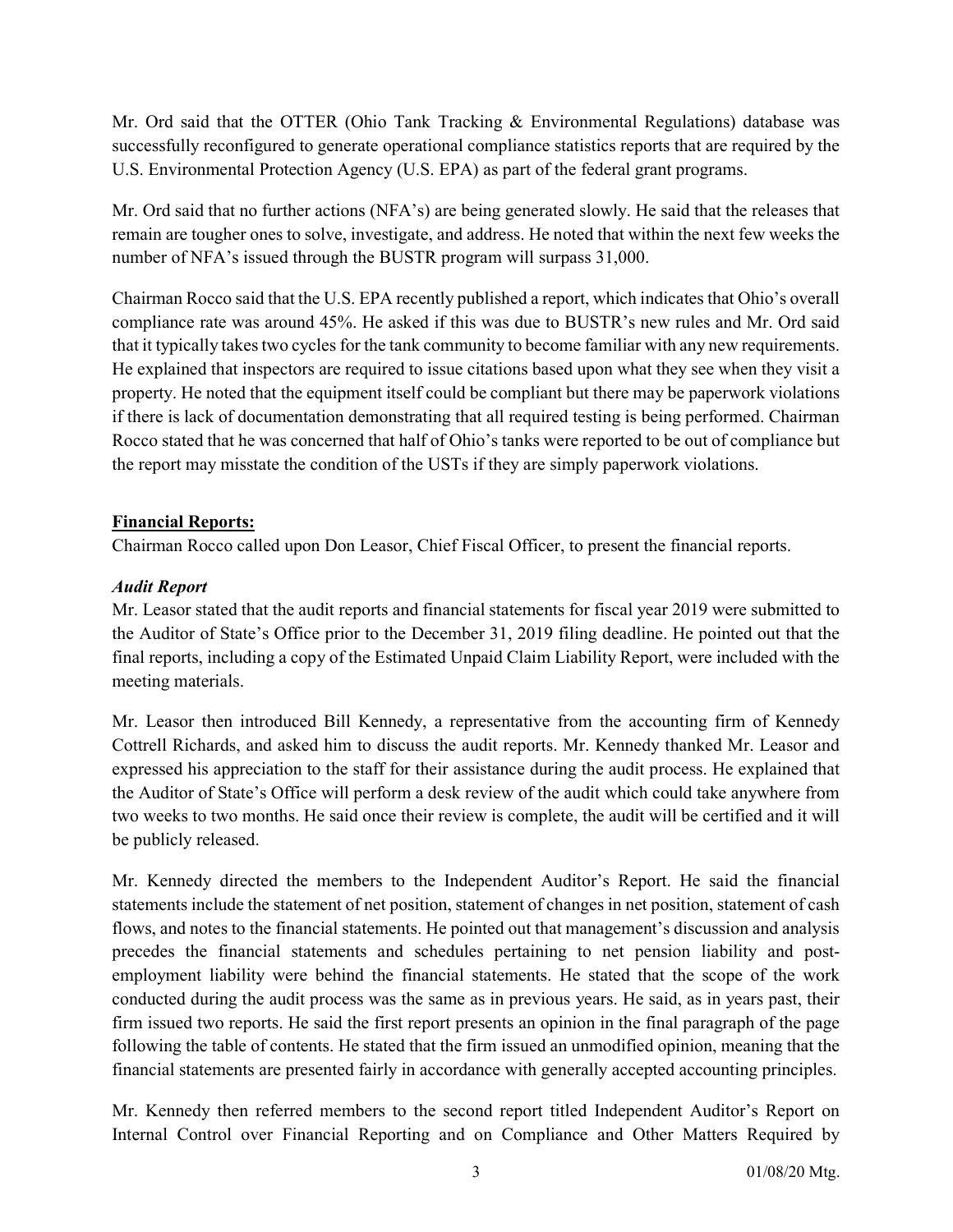Mr. Ord said that the OTTER (Ohio Tank Tracking & Environmental Regulations) database was successfully reconfigured to generate operational compliance statistics reports that are required by the U.S. Environmental Protection Agency (U.S. EPA) as part of the federal grant programs.

Mr. Ord said that no further actions (NFA's) are being generated slowly. He said that the releases that remain are tougher ones to solve, investigate, and address. He noted that within the next few weeks the number of NFA's issued through the BUSTR program will surpass 31,000.

Chairman Rocco said that the U.S. EPA recently published a report, which indicates that Ohio's overall compliance rate was around 45%. He asked if this was due to BUSTR's new rules and Mr. Ord said that it typically takes two cycles for the tank community to become familiar with any new requirements. He explained that inspectors are required to issue citations based upon what they see when they visit a property. He noted that the equipment itself could be compliant but there may be paperwork violations if there is lack of documentation demonstrating that all required testing is being performed. Chairman Rocco stated that he was concerned that half of Ohio's tanks were reported to be out of compliance but the report may misstate the condition of the USTs if they are simply paperwork violations.

# Financial Reports:

Chairman Rocco called upon Don Leasor, Chief Fiscal Officer, to present the financial reports.

# Audit Report

Mr. Leasor stated that the audit reports and financial statements for fiscal year 2019 were submitted to the Auditor of State's Office prior to the December 31, 2019 filing deadline. He pointed out that the final reports, including a copy of the Estimated Unpaid Claim Liability Report, were included with the meeting materials.

Mr. Leasor then introduced Bill Kennedy, a representative from the accounting firm of Kennedy Cottrell Richards, and asked him to discuss the audit reports. Mr. Kennedy thanked Mr. Leasor and expressed his appreciation to the staff for their assistance during the audit process. He explained that the Auditor of State's Office will perform a desk review of the audit which could take anywhere from two weeks to two months. He said once their review is complete, the audit will be certified and it will be publicly released.

Mr. Kennedy directed the members to the Independent Auditor's Report. He said the financial statements include the statement of net position, statement of changes in net position, statement of cash flows, and notes to the financial statements. He pointed out that management's discussion and analysis precedes the financial statements and schedules pertaining to net pension liability and postemployment liability were behind the financial statements. He stated that the scope of the work conducted during the audit process was the same as in previous years. He said, as in years past, their firm issued two reports. He said the first report presents an opinion in the final paragraph of the page following the table of contents. He stated that the firm issued an unmodified opinion, meaning that the financial statements are presented fairly in accordance with generally accepted accounting principles.

Mr. Kennedy then referred members to the second report titled Independent Auditor's Report on Internal Control over Financial Reporting and on Compliance and Other Matters Required by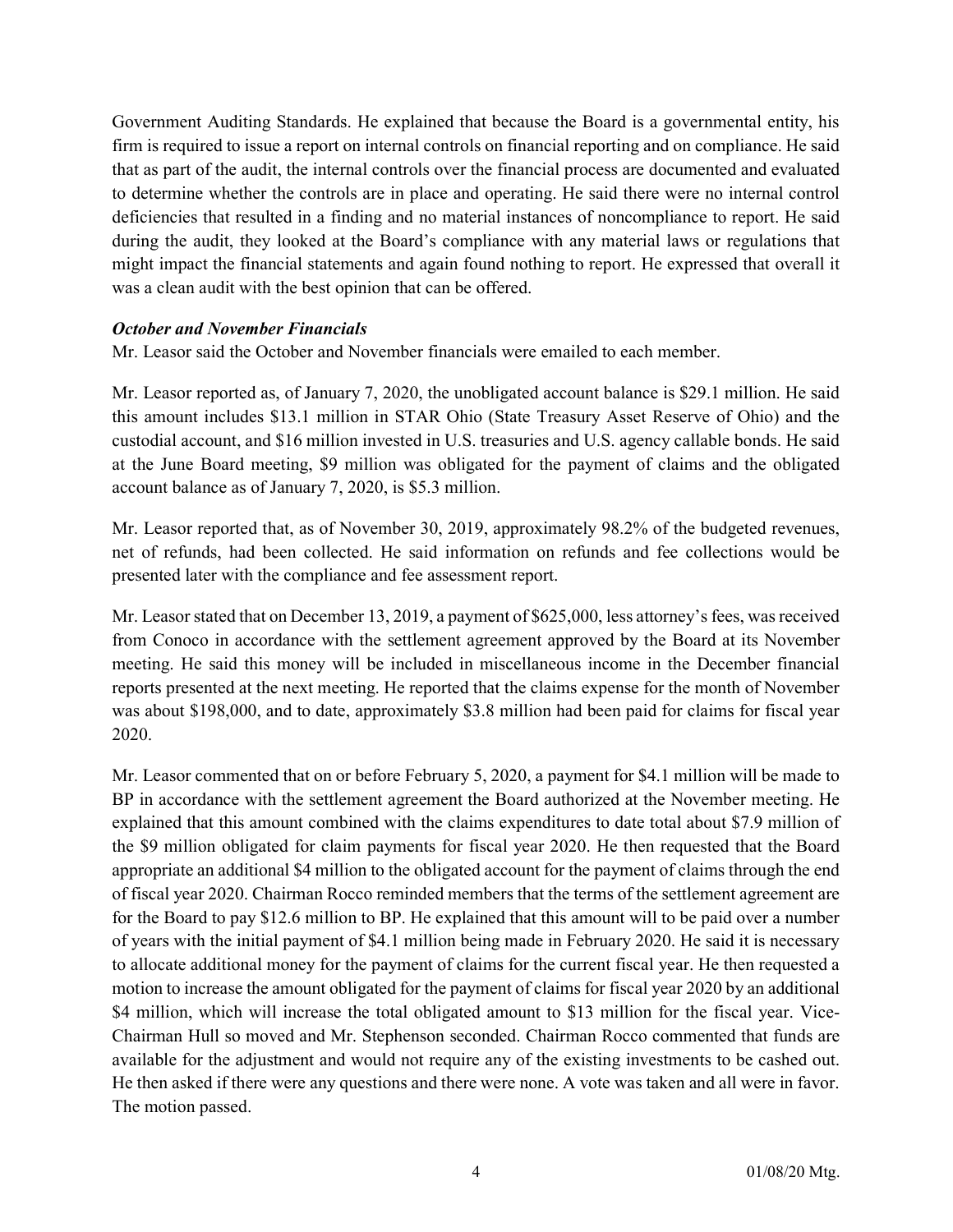Government Auditing Standards. He explained that because the Board is a governmental entity, his firm is required to issue a report on internal controls on financial reporting and on compliance. He said that as part of the audit, the internal controls over the financial process are documented and evaluated to determine whether the controls are in place and operating. He said there were no internal control deficiencies that resulted in a finding and no material instances of noncompliance to report. He said during the audit, they looked at the Board's compliance with any material laws or regulations that might impact the financial statements and again found nothing to report. He expressed that overall it was a clean audit with the best opinion that can be offered.

#### October and November Financials

Mr. Leasor said the October and November financials were emailed to each member.

Mr. Leasor reported as, of January 7, 2020, the unobligated account balance is \$29.1 million. He said this amount includes \$13.1 million in STAR Ohio (State Treasury Asset Reserve of Ohio) and the custodial account, and \$16 million invested in U.S. treasuries and U.S. agency callable bonds. He said at the June Board meeting, \$9 million was obligated for the payment of claims and the obligated account balance as of January 7, 2020, is \$5.3 million.

Mr. Leasor reported that, as of November 30, 2019, approximately 98.2% of the budgeted revenues, net of refunds, had been collected. He said information on refunds and fee collections would be presented later with the compliance and fee assessment report.

Mr. Leasor stated that on December 13, 2019, a payment of \$625,000, less attorney's fees, was received from Conoco in accordance with the settlement agreement approved by the Board at its November meeting. He said this money will be included in miscellaneous income in the December financial reports presented at the next meeting. He reported that the claims expense for the month of November was about \$198,000, and to date, approximately \$3.8 million had been paid for claims for fiscal year 2020.

Mr. Leasor commented that on or before February 5, 2020, a payment for \$4.1 million will be made to BP in accordance with the settlement agreement the Board authorized at the November meeting. He explained that this amount combined with the claims expenditures to date total about \$7.9 million of the \$9 million obligated for claim payments for fiscal year 2020. He then requested that the Board appropriate an additional \$4 million to the obligated account for the payment of claims through the end of fiscal year 2020. Chairman Rocco reminded members that the terms of the settlement agreement are for the Board to pay \$12.6 million to BP. He explained that this amount will to be paid over a number of years with the initial payment of \$4.1 million being made in February 2020. He said it is necessary to allocate additional money for the payment of claims for the current fiscal year. He then requested a motion to increase the amount obligated for the payment of claims for fiscal year 2020 by an additional \$4 million, which will increase the total obligated amount to \$13 million for the fiscal year. Vice-Chairman Hull so moved and Mr. Stephenson seconded. Chairman Rocco commented that funds are available for the adjustment and would not require any of the existing investments to be cashed out. He then asked if there were any questions and there were none. A vote was taken and all were in favor. The motion passed.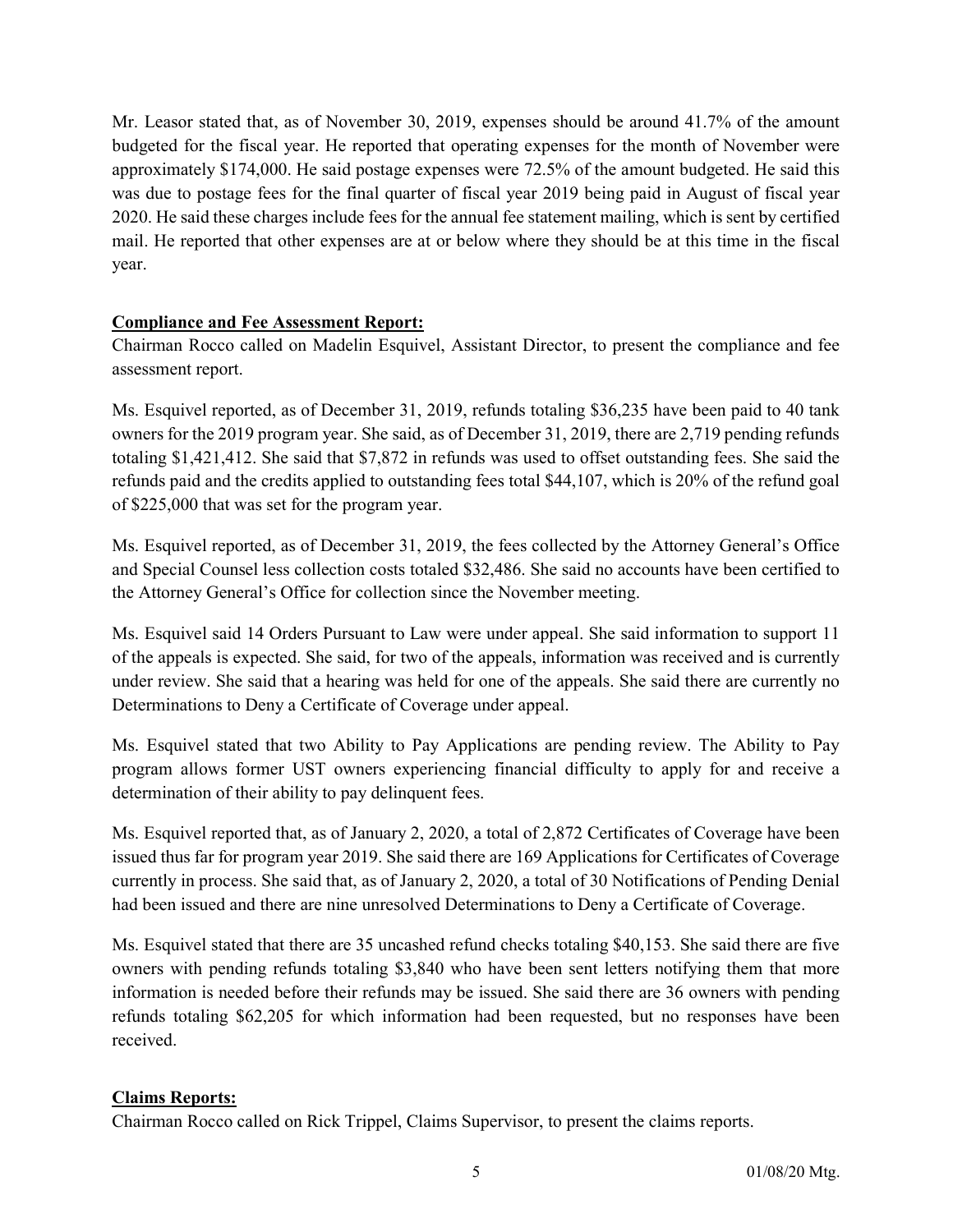Mr. Leasor stated that, as of November 30, 2019, expenses should be around 41.7% of the amount budgeted for the fiscal year. He reported that operating expenses for the month of November were approximately \$174,000. He said postage expenses were 72.5% of the amount budgeted. He said this was due to postage fees for the final quarter of fiscal year 2019 being paid in August of fiscal year 2020. He said these charges include fees for the annual fee statement mailing, which is sent by certified mail. He reported that other expenses are at or below where they should be at this time in the fiscal year.

# Compliance and Fee Assessment Report:

Chairman Rocco called on Madelin Esquivel, Assistant Director, to present the compliance and fee assessment report.

Ms. Esquivel reported, as of December 31, 2019, refunds totaling \$36,235 have been paid to 40 tank owners for the 2019 program year. She said, as of December 31, 2019, there are 2,719 pending refunds totaling \$1,421,412. She said that \$7,872 in refunds was used to offset outstanding fees. She said the refunds paid and the credits applied to outstanding fees total \$44,107, which is 20% of the refund goal of \$225,000 that was set for the program year.

Ms. Esquivel reported, as of December 31, 2019, the fees collected by the Attorney General's Office and Special Counsel less collection costs totaled \$32,486. She said no accounts have been certified to the Attorney General's Office for collection since the November meeting.

Ms. Esquivel said 14 Orders Pursuant to Law were under appeal. She said information to support 11 of the appeals is expected. She said, for two of the appeals, information was received and is currently under review. She said that a hearing was held for one of the appeals. She said there are currently no Determinations to Deny a Certificate of Coverage under appeal.

Ms. Esquivel stated that two Ability to Pay Applications are pending review. The Ability to Pay program allows former UST owners experiencing financial difficulty to apply for and receive a determination of their ability to pay delinquent fees.

Ms. Esquivel reported that, as of January 2, 2020, a total of 2,872 Certificates of Coverage have been issued thus far for program year 2019. She said there are 169 Applications for Certificates of Coverage currently in process. She said that, as of January 2, 2020, a total of 30 Notifications of Pending Denial had been issued and there are nine unresolved Determinations to Deny a Certificate of Coverage.

Ms. Esquivel stated that there are 35 uncashed refund checks totaling \$40,153. She said there are five owners with pending refunds totaling \$3,840 who have been sent letters notifying them that more information is needed before their refunds may be issued. She said there are 36 owners with pending refunds totaling \$62,205 for which information had been requested, but no responses have been received.

### Claims Reports:

Chairman Rocco called on Rick Trippel, Claims Supervisor, to present the claims reports.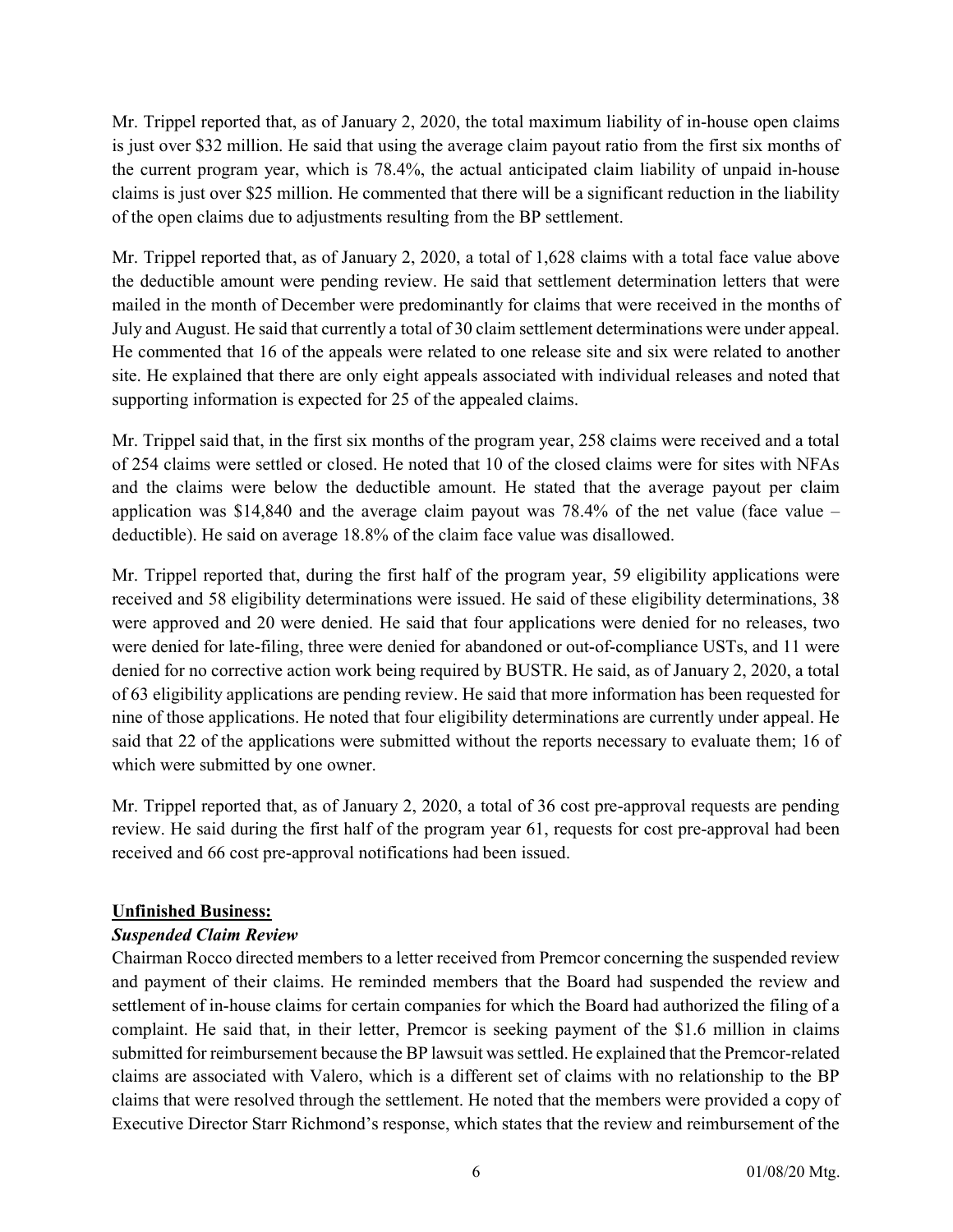Mr. Trippel reported that, as of January 2, 2020, the total maximum liability of in-house open claims is just over \$32 million. He said that using the average claim payout ratio from the first six months of the current program year, which is 78.4%, the actual anticipated claim liability of unpaid in-house claims is just over \$25 million. He commented that there will be a significant reduction in the liability of the open claims due to adjustments resulting from the BP settlement.

Mr. Trippel reported that, as of January 2, 2020, a total of 1,628 claims with a total face value above the deductible amount were pending review. He said that settlement determination letters that were mailed in the month of December were predominantly for claims that were received in the months of July and August. He said that currently a total of 30 claim settlement determinations were under appeal. He commented that 16 of the appeals were related to one release site and six were related to another site. He explained that there are only eight appeals associated with individual releases and noted that supporting information is expected for 25 of the appealed claims.

Mr. Trippel said that, in the first six months of the program year, 258 claims were received and a total of 254 claims were settled or closed. He noted that 10 of the closed claims were for sites with NFAs and the claims were below the deductible amount. He stated that the average payout per claim application was  $$14,840$  and the average claim payout was 78.4% of the net value (face value – deductible). He said on average 18.8% of the claim face value was disallowed.

Mr. Trippel reported that, during the first half of the program year, 59 eligibility applications were received and 58 eligibility determinations were issued. He said of these eligibility determinations, 38 were approved and 20 were denied. He said that four applications were denied for no releases, two were denied for late-filing, three were denied for abandoned or out-of-compliance USTs, and 11 were denied for no corrective action work being required by BUSTR. He said, as of January 2, 2020, a total of 63 eligibility applications are pending review. He said that more information has been requested for nine of those applications. He noted that four eligibility determinations are currently under appeal. He said that 22 of the applications were submitted without the reports necessary to evaluate them; 16 of which were submitted by one owner.

Mr. Trippel reported that, as of January 2, 2020, a total of 36 cost pre-approval requests are pending review. He said during the first half of the program year 61, requests for cost pre-approval had been received and 66 cost pre-approval notifications had been issued.

### Unfinished Business:

### Suspended Claim Review

Chairman Rocco directed members to a letter received from Premcor concerning the suspended review and payment of their claims. He reminded members that the Board had suspended the review and settlement of in-house claims for certain companies for which the Board had authorized the filing of a complaint. He said that, in their letter, Premcor is seeking payment of the \$1.6 million in claims submitted for reimbursement because the BP lawsuit was settled. He explained that the Premcor-related claims are associated with Valero, which is a different set of claims with no relationship to the BP claims that were resolved through the settlement. He noted that the members were provided a copy of Executive Director Starr Richmond's response, which states that the review and reimbursement of the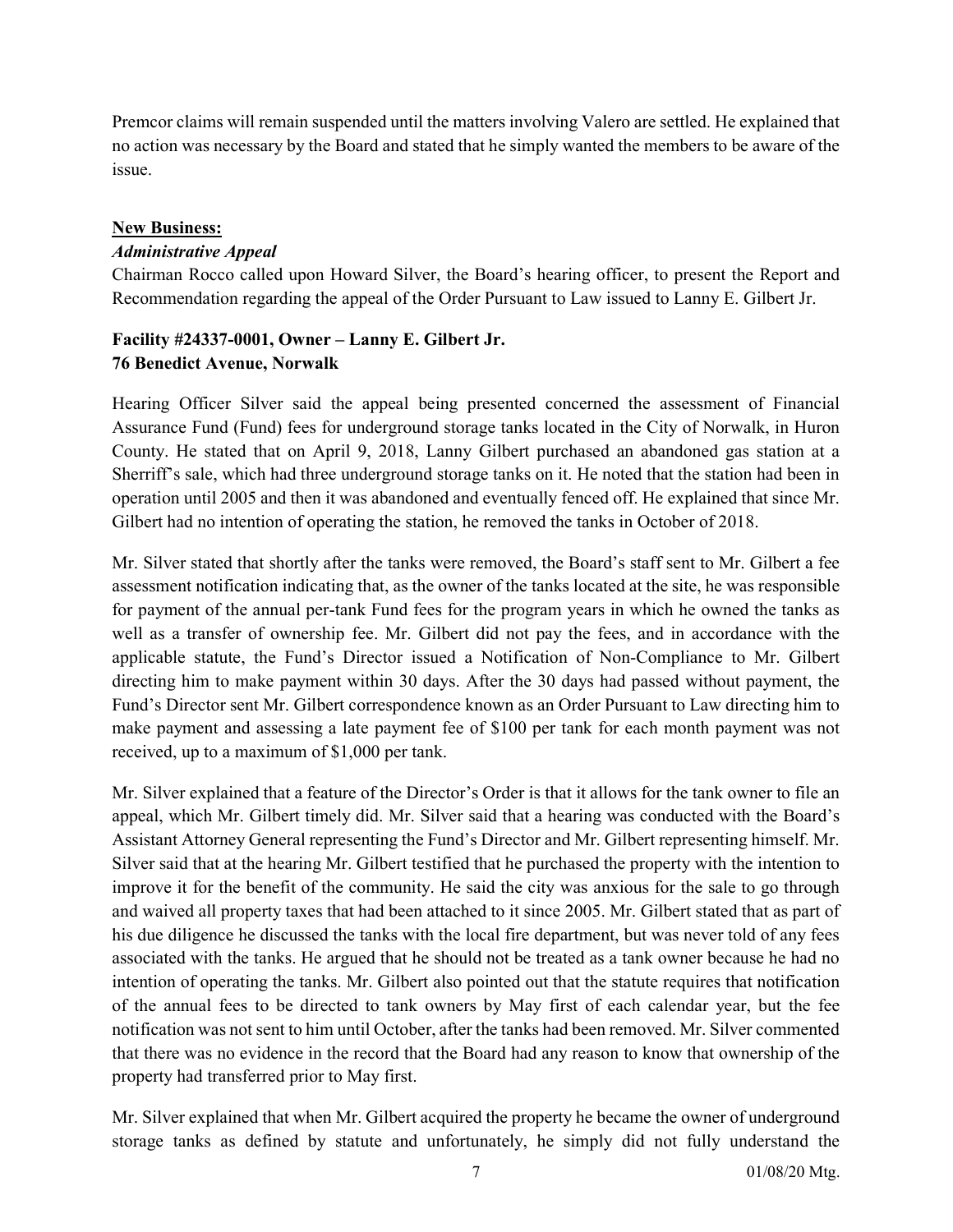Premcor claims will remain suspended until the matters involving Valero are settled. He explained that no action was necessary by the Board and stated that he simply wanted the members to be aware of the issue.

## New Business:

# Administrative Appeal

Chairman Rocco called upon Howard Silver, the Board's hearing officer, to present the Report and Recommendation regarding the appeal of the Order Pursuant to Law issued to Lanny E. Gilbert Jr.

# Facility #24337-0001, Owner – Lanny E. Gilbert Jr. 76 Benedict Avenue, Norwalk

Hearing Officer Silver said the appeal being presented concerned the assessment of Financial Assurance Fund (Fund) fees for underground storage tanks located in the City of Norwalk, in Huron County. He stated that on April 9, 2018, Lanny Gilbert purchased an abandoned gas station at a Sherriff's sale, which had three underground storage tanks on it. He noted that the station had been in operation until 2005 and then it was abandoned and eventually fenced off. He explained that since Mr. Gilbert had no intention of operating the station, he removed the tanks in October of 2018.

Mr. Silver stated that shortly after the tanks were removed, the Board's staff sent to Mr. Gilbert a fee assessment notification indicating that, as the owner of the tanks located at the site, he was responsible for payment of the annual per-tank Fund fees for the program years in which he owned the tanks as well as a transfer of ownership fee. Mr. Gilbert did not pay the fees, and in accordance with the applicable statute, the Fund's Director issued a Notification of Non-Compliance to Mr. Gilbert directing him to make payment within 30 days. After the 30 days had passed without payment, the Fund's Director sent Mr. Gilbert correspondence known as an Order Pursuant to Law directing him to make payment and assessing a late payment fee of \$100 per tank for each month payment was not received, up to a maximum of \$1,000 per tank.

Mr. Silver explained that a feature of the Director's Order is that it allows for the tank owner to file an appeal, which Mr. Gilbert timely did. Mr. Silver said that a hearing was conducted with the Board's Assistant Attorney General representing the Fund's Director and Mr. Gilbert representing himself. Mr. Silver said that at the hearing Mr. Gilbert testified that he purchased the property with the intention to improve it for the benefit of the community. He said the city was anxious for the sale to go through and waived all property taxes that had been attached to it since 2005. Mr. Gilbert stated that as part of his due diligence he discussed the tanks with the local fire department, but was never told of any fees associated with the tanks. He argued that he should not be treated as a tank owner because he had no intention of operating the tanks. Mr. Gilbert also pointed out that the statute requires that notification of the annual fees to be directed to tank owners by May first of each calendar year, but the fee notification was not sent to him until October, after the tanks had been removed. Mr. Silver commented that there was no evidence in the record that the Board had any reason to know that ownership of the property had transferred prior to May first.

Mr. Silver explained that when Mr. Gilbert acquired the property he became the owner of underground storage tanks as defined by statute and unfortunately, he simply did not fully understand the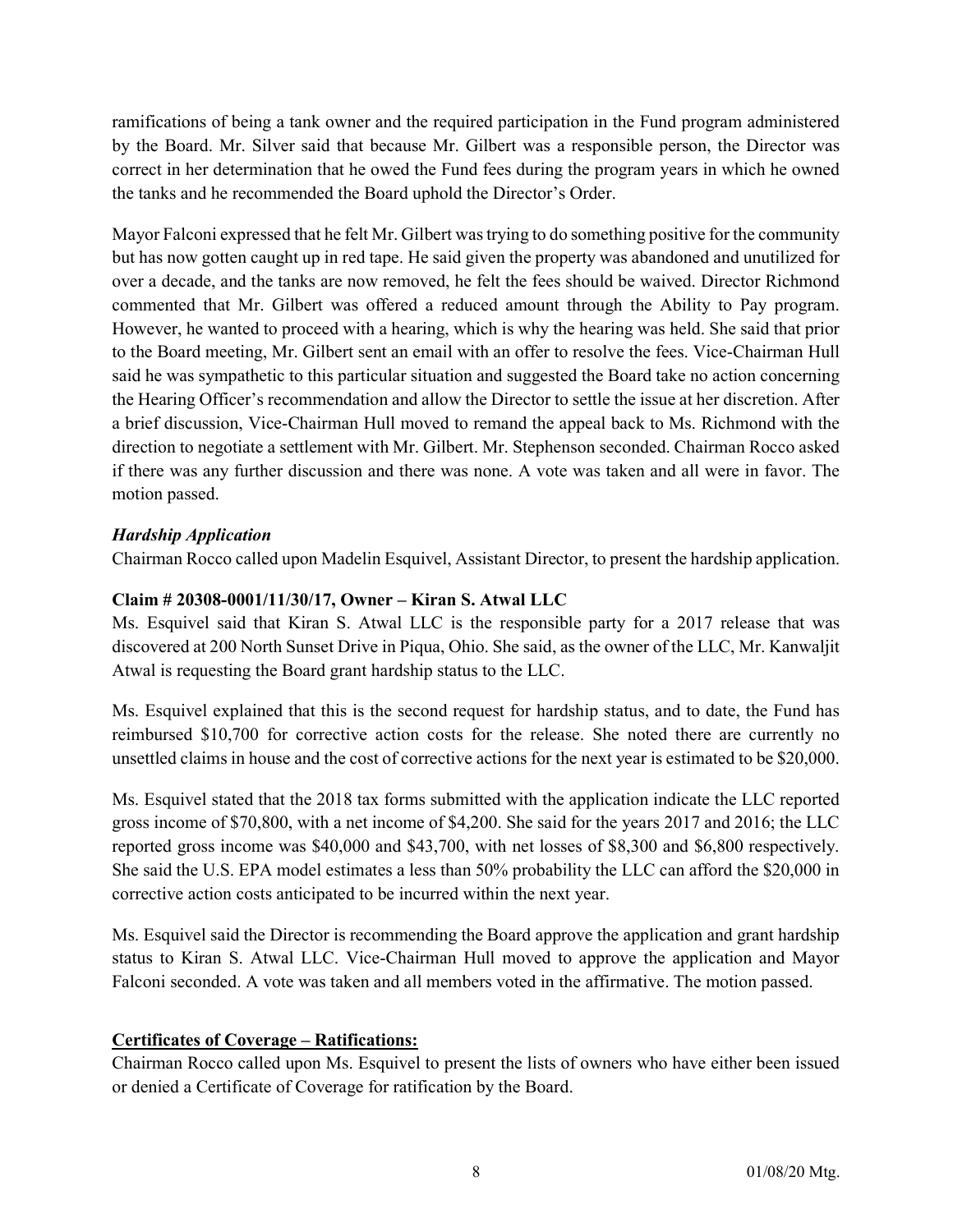ramifications of being a tank owner and the required participation in the Fund program administered by the Board. Mr. Silver said that because Mr. Gilbert was a responsible person, the Director was correct in her determination that he owed the Fund fees during the program years in which he owned the tanks and he recommended the Board uphold the Director's Order.

Mayor Falconi expressed that he felt Mr. Gilbert was trying to do something positive for the community but has now gotten caught up in red tape. He said given the property was abandoned and unutilized for over a decade, and the tanks are now removed, he felt the fees should be waived. Director Richmond commented that Mr. Gilbert was offered a reduced amount through the Ability to Pay program. However, he wanted to proceed with a hearing, which is why the hearing was held. She said that prior to the Board meeting, Mr. Gilbert sent an email with an offer to resolve the fees. Vice-Chairman Hull said he was sympathetic to this particular situation and suggested the Board take no action concerning the Hearing Officer's recommendation and allow the Director to settle the issue at her discretion. After a brief discussion, Vice-Chairman Hull moved to remand the appeal back to Ms. Richmond with the direction to negotiate a settlement with Mr. Gilbert. Mr. Stephenson seconded. Chairman Rocco asked if there was any further discussion and there was none. A vote was taken and all were in favor. The motion passed.

# Hardship Application

Chairman Rocco called upon Madelin Esquivel, Assistant Director, to present the hardship application.

# Claim # 20308-0001/11/30/17, Owner – Kiran S. Atwal LLC

Ms. Esquivel said that Kiran S. Atwal LLC is the responsible party for a 2017 release that was discovered at 200 North Sunset Drive in Piqua, Ohio. She said, as the owner of the LLC, Mr. Kanwaljit Atwal is requesting the Board grant hardship status to the LLC.

Ms. Esquivel explained that this is the second request for hardship status, and to date, the Fund has reimbursed \$10,700 for corrective action costs for the release. She noted there are currently no unsettled claims in house and the cost of corrective actions for the next year is estimated to be \$20,000.

Ms. Esquivel stated that the 2018 tax forms submitted with the application indicate the LLC reported gross income of \$70,800, with a net income of \$4,200. She said for the years 2017 and 2016; the LLC reported gross income was \$40,000 and \$43,700, with net losses of \$8,300 and \$6,800 respectively. She said the U.S. EPA model estimates a less than 50% probability the LLC can afford the \$20,000 in corrective action costs anticipated to be incurred within the next year.

Ms. Esquivel said the Director is recommending the Board approve the application and grant hardship status to Kiran S. Atwal LLC. Vice-Chairman Hull moved to approve the application and Mayor Falconi seconded. A vote was taken and all members voted in the affirmative. The motion passed.

### Certificates of Coverage – Ratifications:

Chairman Rocco called upon Ms. Esquivel to present the lists of owners who have either been issued or denied a Certificate of Coverage for ratification by the Board.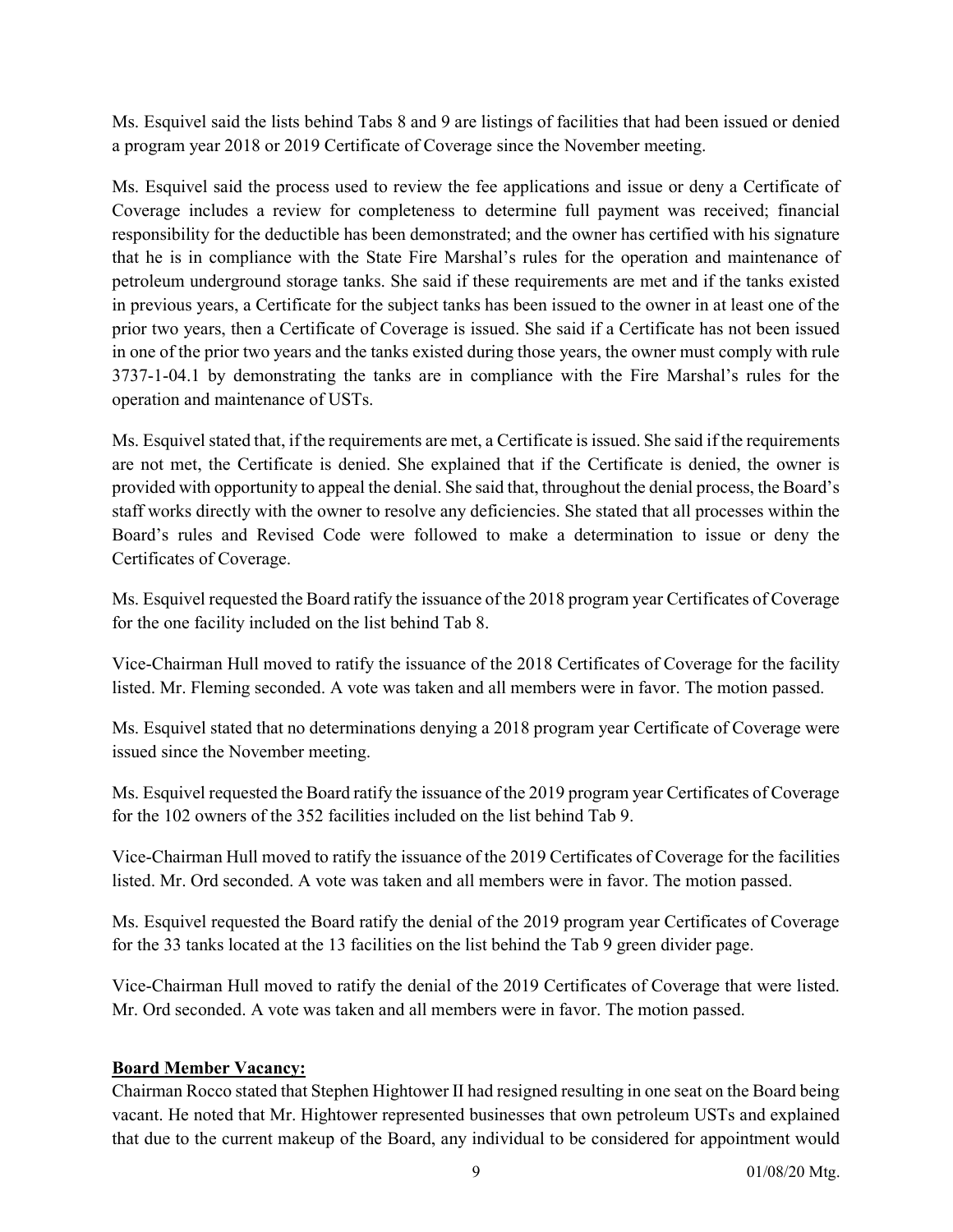Ms. Esquivel said the lists behind Tabs 8 and 9 are listings of facilities that had been issued or denied a program year 2018 or 2019 Certificate of Coverage since the November meeting.

Ms. Esquivel said the process used to review the fee applications and issue or deny a Certificate of Coverage includes a review for completeness to determine full payment was received; financial responsibility for the deductible has been demonstrated; and the owner has certified with his signature that he is in compliance with the State Fire Marshal's rules for the operation and maintenance of petroleum underground storage tanks. She said if these requirements are met and if the tanks existed in previous years, a Certificate for the subject tanks has been issued to the owner in at least one of the prior two years, then a Certificate of Coverage is issued. She said if a Certificate has not been issued in one of the prior two years and the tanks existed during those years, the owner must comply with rule 3737-1-04.1 by demonstrating the tanks are in compliance with the Fire Marshal's rules for the operation and maintenance of USTs.

Ms. Esquivel stated that, if the requirements are met, a Certificate is issued. She said if the requirements are not met, the Certificate is denied. She explained that if the Certificate is denied, the owner is provided with opportunity to appeal the denial. She said that, throughout the denial process, the Board's staff works directly with the owner to resolve any deficiencies. She stated that all processes within the Board's rules and Revised Code were followed to make a determination to issue or deny the Certificates of Coverage.

Ms. Esquivel requested the Board ratify the issuance of the 2018 program year Certificates of Coverage for the one facility included on the list behind Tab 8.

Vice-Chairman Hull moved to ratify the issuance of the 2018 Certificates of Coverage for the facility listed. Mr. Fleming seconded. A vote was taken and all members were in favor. The motion passed.

Ms. Esquivel stated that no determinations denying a 2018 program year Certificate of Coverage were issued since the November meeting.

Ms. Esquivel requested the Board ratify the issuance of the 2019 program year Certificates of Coverage for the 102 owners of the 352 facilities included on the list behind Tab 9.

Vice-Chairman Hull moved to ratify the issuance of the 2019 Certificates of Coverage for the facilities listed. Mr. Ord seconded. A vote was taken and all members were in favor. The motion passed.

Ms. Esquivel requested the Board ratify the denial of the 2019 program year Certificates of Coverage for the 33 tanks located at the 13 facilities on the list behind the Tab 9 green divider page.

Vice-Chairman Hull moved to ratify the denial of the 2019 Certificates of Coverage that were listed. Mr. Ord seconded. A vote was taken and all members were in favor. The motion passed.

### Board Member Vacancy:

Chairman Rocco stated that Stephen Hightower II had resigned resulting in one seat on the Board being vacant. He noted that Mr. Hightower represented businesses that own petroleum USTs and explained that due to the current makeup of the Board, any individual to be considered for appointment would